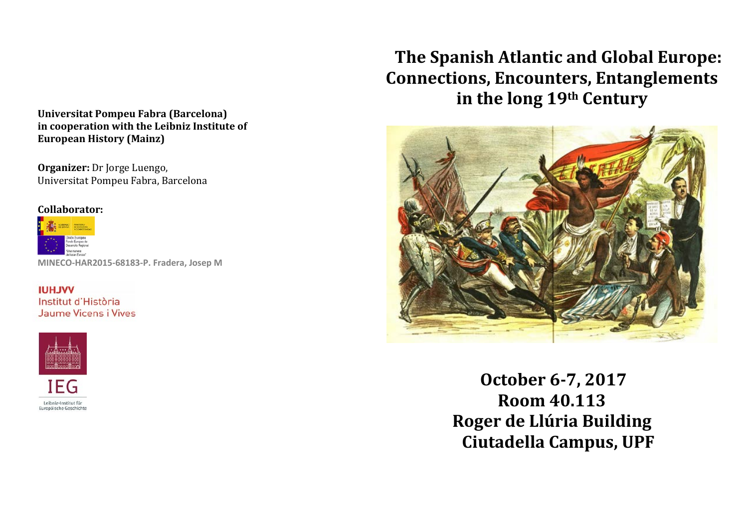#### **Universitat Pompeu Fabra (Barcelona) in cooperation with the Leibniz Institute of European History (Mainz)**

**Organizer:** Dr Jorge Luengo, Universitat Pompeu Fabra, Barcelona

#### **Collaborator:**



**MINECO-HAR2015-68183-P. Fradera, Josep M**

**IUHJVV** Institut d'Història Jaume Vicens i Vives



# **The Spanish Atlantic and Global Europe: Connections, Encounters, Entanglements in the long 19th Century**



**October 6-7, 2017 Room 40.113 Roger de Llúria Building Ciutadella Campus, UPF**